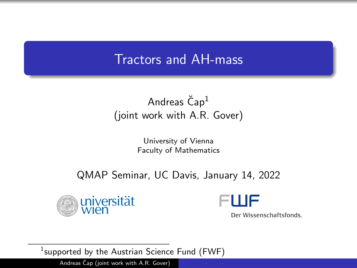## Tractors and AH-mass

## Andreas  $\text{Čap}^1$ (joint work with A.R. Gover)

University of Vienna Faculty of Mathematics

### QMAP Seminar, UC Davis, January 14, 2022





Der Wissenschaftsfonds.

 $^1$ supported by the Austrian Science Fund (FWF)

Andreas Čap (joint work with A.R. Gover)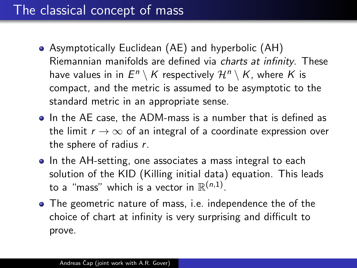# The classical concept of mass

- Asymptotically Euclidean (AE) and hyperbolic (AH) Riemannian manifolds are defined via charts at infinity. These have values in in  $E^n \setminus K$  respectively  $\mathcal{H}^n \setminus K$ , where  $K$  is compact, and the metric is assumed to be asymptotic to the standard metric in an appropriate sense.
- In the AE case, the ADM-mass is a number that is defined as the limit  $r \to \infty$  of an integral of a coordinate expression over the sphere of radius r.
- In the AH-setting, one associates a mass integral to each solution of the KID (Killing initial data) equation. This leads to a "mass" which is a vector in  $\mathbb{R}^{(n,1)}.$
- The geometric nature of mass, i.e. independence the of the choice of chart at infinity is very surprising and difficult to prove.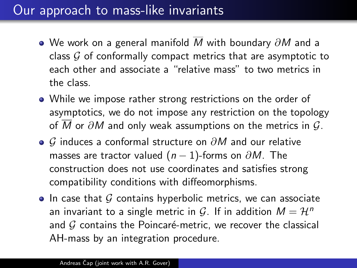# Our approach to mass-like invariants

- $\bullet$  We work on a general manifold  $\overline{M}$  with boundary  $\partial M$  and a class  $G$  of conformally compact metrics that are asymptotic to each other and associate a "relative mass" to two metrics in the class.
- While we impose rather strong restrictions on the order of asymptotics, we do not impose any restriction on the topology of M or  $\partial M$  and only weak assumptions on the metrics in  $\mathcal{G}$ .
- $\bullet$  G induces a conformal structure on  $\partial M$  and our relative masses are tractor valued  $(n - 1)$ -forms on  $\partial M$ . The construction does not use coordinates and satisfies strong compatibility conditions with diffeomorphisms.
- $\bullet$  In case that G contains hyperbolic metrics, we can associate an invariant to a single metric in G. If in addition  $M = H<sup>n</sup>$ and  $G$  contains the Poincaré-metric, we recover the classical AH-mass by an integration procedure.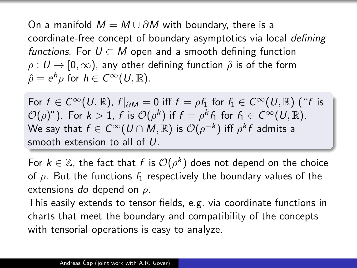On a manifold  $\overline{M} = M \cup \partial M$  with boundary, there is a coordinate-free concept of boundary asymptotics via local defining functions. For  $U \subset \overline{M}$  open and a smooth defining function  $\rho: U \to [0, \infty)$ , any other defining function  $\hat{\rho}$  is of the form  $\hat{\rho} = e^h \rho$  for  $h \in C^\infty(U, \mathbb{R})$ .

For  $f \in C^{\infty}(U,\mathbb{R})$ ,  $f|_{\partial M} = 0$  iff  $f = \rho f_1$  for  $f_1 \in C^{\infty}(U,\mathbb{R})$  ("f is  $\mathcal{O}(\rho)$ "). For  $k>1$ ,  $f$  is  $\mathcal{O}(\rho^k)$  if  $f=\rho^k f_1$  for  $f_1\in C^\infty(U,\mathbb{R})$ . We say that  $f\in C^\infty(U\cap M,\mathbb{R})$  is  $\mathcal O(\rho^{-k})$  iff  $\rho^k f$  admits a smooth extension to all of U.

For  $k \in \mathbb{Z}$ , the fact that f is  $\mathcal{O}(\rho^k)$  does not depend on the choice of  $\rho$ . But the functions  $f_1$  respectively the boundary values of the extensions do depend on  $\rho$ .

This easily extends to tensor fields, e.g. via coordinate functions in charts that meet the boundary and compatibility of the concepts with tensorial operations is easy to analyze.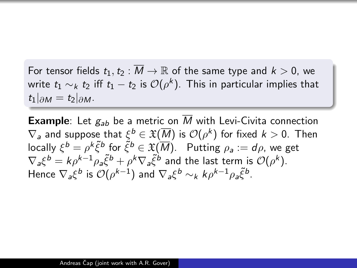For tensor fields  $t_1, t_2 : \overline{M} \to \mathbb{R}$  of the same type and  $k > 0$ , we write  $t_1\sim_k t_2$  iff  $t_1-t_2$  is  $\mathcal{O}(\rho^k).$  This in particular implies that  $t_1|_{\partial M} = t_2|_{\partial M}.$ 

**Example:** Let  $g_{ab}$  be a metric on  $\overline{M}$  with Levi-Civita connection  $\nabla_{\bm{s}}$  and suppose that  $\xi^{\bm{b}} \in \mathfrak{X}(\overline{M})$  is  $\mathcal{O}(\rho^{\bm{k}})$  for fixed  $\bm{k} > 0$ . Then locally  $\xi^b = \rho^k \tilde{\xi}^b$  for  $\tilde{\xi}^b \in \mathfrak{X}(\overline{M})$ . Putting  $\rho_a := d\rho$ , we get  $\nabla_a \xi^b = k \rho^{k-1} \rho_a \tilde{\xi}^b + \rho^k \nabla_a \tilde{\xi}^b$  and the last term is  $\mathcal{O}(\rho^k)$ . Hence  $\nabla_a \xi^b$  is  $\mathcal{O}(\rho^{k-1})$  and  $\nabla_a \xi^b \sim_k k \rho^{k-1} \rho_a \tilde{\xi}^b$ .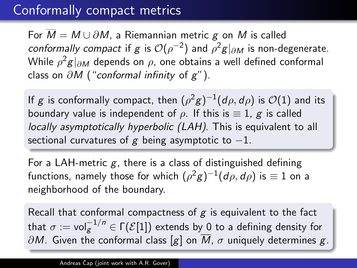## Conformally compact metrics

For  $\overline{M} = M \cup \partial M$ , a Riemannian metric g on M is called *conformally compact* if g is  $\mathcal{O}(\rho^{-2})$  and  $\rho^2 g|_{\partial M}$  is non-degenerate. While  $\rho^2 \boldsymbol{g}|_{\partial\boldsymbol{M}}$  depends on  $\rho$ , one obtains a well defined conformal class on  $\partial M$  ("conformal infinity of  $g$ ").

If  $g$  is conformally compact, then  $(\rho^2 g)^{-1}(d\rho, d\rho)$  is  $\mathcal{O}(1)$  and its boundary value is independent of  $\rho$ . If this is  $\equiv 1$ , g is called locally asymptotically hyperbolic (LAH). This is equivalent to all sectional curvatures of g being asymptotic to  $-1$ .

For a LAH-metric  $g$ , there is a class of distinguished defining functions, namely those for which  $(\rho^2 g)^{-1}(d\rho, d\rho)$  is  $\equiv 1$  on a neighborhood of the boundary.

Recall that conformal compactness of  $g$  is equivalent to the fact that  $\sigma:=\mathsf{vol}_{\mathcal{S}}^{-1/n}\in\mathsf{\Gamma}(\mathcal{E}[1])$  extends by 0 to a defining density for  $\partial M$ . Given the conformal class [g] on  $\overline{M}$ ,  $\sigma$  uniquely determines g.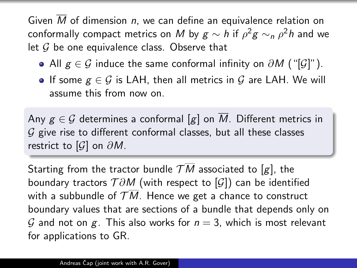Given M of dimension n, we can define an equivalence relation on conformally compact metrics on  $M$  by  $g\sim h$  if  $\rho^2g\sim_n\rho^2h$  and we let  $G$  be one equivalence class. Observe that

- All  $g \in \mathcal{G}$  induce the same conformal infinity on  $\partial M$  ("[ $\mathcal{G}$ ]").
- If some  $g \in \mathcal{G}$  is LAH, then all metrics in  $\mathcal{G}$  are LAH. We will assume this from now on.

Any  $g \in \mathcal{G}$  determines a conformal [g] on M. Different metrics in  $G$  give rise to different conformal classes, but all these classes restrict to  $[G]$  on  $\partial M$ .

Starting from the tractor bundle  $TM$  associated to [g], the boundary tractors  $T \partial M$  (with respect to  $\lbrack \mathcal{G} \rbrack$ ) can be identified with a subbundle of  $\mathcal{T}\overline{M}$ . Hence we get a chance to construct boundary values that are sections of a bundle that depends only on G and not on g. This also works for  $n = 3$ , which is most relevant for applications to GR.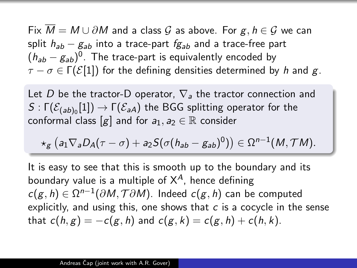Fix  $\overline{M} = M \cup \partial M$  and a class  $\mathcal G$  as above. For  $g, h \in \mathcal G$  we can split  $h_{ab} - g_{ab}$  into a trace-part  $fg_{ab}$  and a trace-free part  $(h_{ab}-g_{ab})^0$ . The trace-part is equivalently encoded by  $\tau - \sigma \in \Gamma(\mathcal{E}[1])$  for the defining densities determined by h and g.

Let D be the tractor-D operator,  $\nabla_a$  the tractor connection and  $\mathcal{S}:\mathsf{\Gamma}(\mathcal{E}_{(ab)_0}[1])\to \mathsf{\Gamma}(\mathcal{E}_{a\mathsf{A}})$  the BGG splitting operator for the conformal class [g] and for  $a_1, a_2 \in \mathbb{R}$  consider

$$
\star_g \left( a_1 \nabla_a D_A(\tau - \sigma) + a_2 S(\sigma (h_{ab} - g_{ab})^0) \right) \in \Omega^{n-1}(M, \mathcal{T}M).
$$

It is easy to see that this is smooth up to the boundary and its boundary value is a multiple of  $X^A$ , hence defining  $c(g, h) \in \Omega^{n-1}(\partial M, \mathcal{T}\partial M)$ . Indeed  $c(g, h)$  can be computed explicitly, and using this, one shows that  $c$  is a cocycle in the sense that  $c(h, g) = -c(g, h)$  and  $c(g, k) = c(g, h) + c(h, k)$ .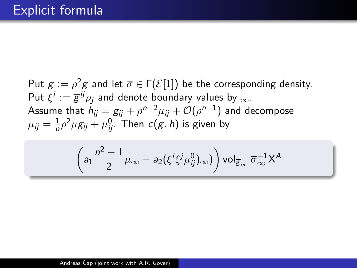Put  $\overline{g}:=\rho^2g$  and let  $\overline{\sigma}\in \Gamma(\mathcal{E}[1])$  be the corresponding density. Put  $\xi^i:=\overline{g}^{ij}\rho_j$  and denote boundary values by  $_\infty.$ Assume that  $h_{ij} = \textit{g}_{ij} + \rho^{n-2}\mu_{ij} + \mathcal{O}(\rho^{n-1})$  and decompose  $\mu_{ij} = \frac{1}{n}$  $\frac{1}{n} \rho^2 \mu g_{ij} + \mu_{ij}^0$ . Then  $c(g,h)$  is given by

$$
\left(a_1\frac{n^2-1}{2}\mu_\infty-a_2(\xi^i\xi^j\mu^0_{ij})_\infty)\right)\text{vol}_{\overline{g}_\infty}\,\overline{\sigma}_\infty^{-1}X^A
$$

Andreas Čap (joint work with A.R. Gover)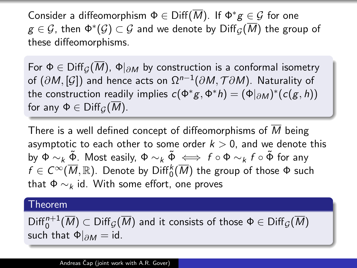Consider a diffeomorphism  $\Phi \in \text{Diff}(\overline{M})$ . If  $\Phi^* g \in \mathcal{G}$  for one  $\mathcal{g} \in \mathcal{G}$ , then  $\Phi^*(\mathcal{G}) \subset \mathcal{G}$  and we denote by  $\mathrm{Diff}_\mathcal{G}(\overline{M})$  the group of these diffeomorphisms.

For  $\Phi \in \mathrm{Diff}_{G}(M)$ ,  $\Phi|_{\partial M}$  by construction is a conformal isometry of  $(\partial M,[\mathcal{G}])$  and hence acts on  $\Omega^{n-1}(\partial M,\mathcal{T}\partial M)$ . Naturality of the construction readily implies  $c(\Phi^*g, \Phi^*h) = (\Phi|_{\partial M})^*(c(g, h))$ for any  $\Phi \in \mathrm{Diff}_G(\overline{M})$ .

There is a well defined concept of diffeomorphisms of  $M$  being asymptotic to each other to some order  $k > 0$ , and we denote this by  $\Phi \sim_k \tilde{\Phi}$ . Most easily,  $\Phi \sim_k \tilde{\Phi} \iff f \circ \Phi \sim_k f \circ \tilde{\Phi}$  for any  $f\in C^\infty(\overline{M},\mathbb{R}).$  Denote by  $\mathrm{Diff}_0^k(\overline{M})$  the group of those  $\Phi$  such that  $\Phi \sim_k \text{id}$ . With some effort, one proves

#### Theorem

 $\mathsf{Diff}^{n+1}_0(\overline{M})\subset\mathsf{Diff}_{\mathcal{G}}(\overline{M})$  and it consists of those  $\Phi\in\mathsf{Diff}_{\mathcal{G}}(\overline{M})$ such that  $\Phi|_{\partial M} = id$ .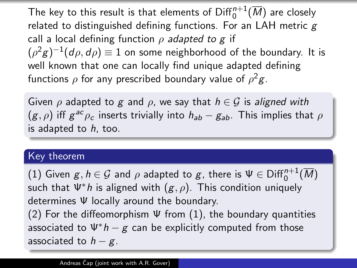The key to this result is that elements of  $\mathrm{Diff}^{n+1}_0(\overline{M})$  are closely related to distinguished defining functions. For an LAH metric  $g$ call a local defining function  $\rho$  adapted to g if  $(\rho^2 g)^{-1}(d\rho,d\rho)\equiv 1$  on some neighborhood of the boundary. It is well known that one can locally find unique adapted defining functions  $\rho$  for any prescribed boundary value of  $\rho^2 g$ .

Given  $\rho$  adapted to g and  $\rho$ , we say that  $h \in \mathcal{G}$  is aligned with  $(g, \rho)$  iff  $g^{ac}\rho_c$  inserts trivially into  $h_{ab}-g_{ab}$ . This implies that  $\rho$ is adapted to  $h$ , too.

#### Key theorem

 $(1)$  Given  $g,h\in\mathcal{G}$  and  $\rho$  adapted to  $g$ , there is  $\Psi\in{\rm Diff}^{n+1}_0(\overline{M})$ such that  $\Psi^* h$  is aligned with  $(g, \rho)$ . This condition uniquely determines Ψ locally around the boundary. (2) For the diffeomorphism  $\Psi$  from (1), the boundary quantities associated to  $\Psi^* h - g$  can be explicitly computed from those associated to  $h - g$ .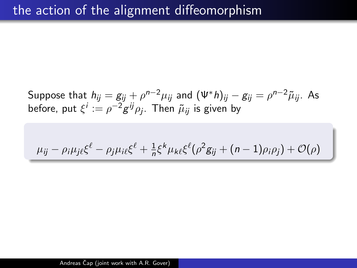Suppose that  $h_{ij}=g_{ij}+\rho^{n-2}\mu_{ij}$  and  $(\Psi^*h)_{ij}-g_{ij}=\rho^{n-2}\tilde{\mu}_{ij}.$  As before, put  $\xi^i := \rho^{-2} g^{ij} \rho_j.$  Then  $\tilde{\mu}_{ij}$  is given by

$$
\mu_{ij} - \rho_i \mu_j \varepsilon \xi^{\ell} - \rho_j \mu_i \varepsilon \xi^{\ell} + \frac{1}{n} \xi^k \mu_k \varepsilon \xi^{\ell} (\rho^2 g_{ij} + (n-1)\rho_i \rho_j) + \mathcal{O}(\rho)
$$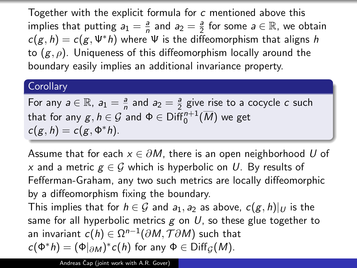Together with the explicit formula for c mentioned above this implies that putting  $a_1 = \frac{a}{n}$  $\frac{a}{n}$  and  $a_2 = \frac{a}{2}$  $\frac{a}{2}$  for some  $a \in \mathbb{R}$ , we obtain  $c(g, h) = c(g, \Psi^*h)$  where  $\Psi$  is the diffeomorphism that aligns h to  $(g, \rho)$ . Uniqueness of this diffeomorphism locally around the boundary easily implies an additional invariance property.

#### **Corollary**

For any  $a \in \mathbb{R}$ ,  $a_1 = \frac{a}{n}$  $\frac{a}{n}$  and  $a_2 = \frac{a}{2}$  $\frac{a}{2}$  give rise to a cocycle  $c$  such that for any  $g,h\in\mathcal{G}$  and  $\Phi\in\mathrm{Diff}^{n+1}_0(\overline{M})$  we get  $c(g, h) = c(g, \Phi^* h).$ 

Assume that for each  $x \in \partial M$ , there is an open neighborhood U of x and a metric  $g \in \mathcal{G}$  which is hyperbolic on U. By results of Fefferman-Graham, any two such metrics are locally diffeomorphic by a diffeomorphism fixing the boundary.

This implies that for  $h \in \mathcal{G}$  and  $a_1, a_2$  as above,  $c(g, h)|_U$  is the same for all hyperbolic metrics  $g$  on U, so these glue together to an invariant  $c(h)\in \Omega^{n-1}(\partial M,\mathcal{T}\partial M)$  such that  $c(\Phi^* h) = (\Phi|_{\partial M})^* c(h)$  for any  $\Phi \in \text{Diff}_{\mathcal{G}}(M)$ .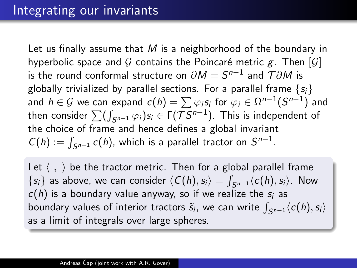Let us finally assume that M is a neighborhood of the boundary in hyperbolic space and G contains the Poincaré metric g. Then [G] is the round conformal structure on  $\partial M=S^{n-1}$  and  $\mathcal{T}\partial M$  is globally trivialized by parallel sections. For a parallel frame  $\{s_i\}$ and  $h\in\mathcal{G}$  we can expand  $\mathsf{c}(h)=\sum\varphi_i s_i$  for  $\varphi_i\in\Omega^{n-1}(S^{n-1})$  and then consider  $\sum (\int_{\mathcal S^{n-1}} \varphi_i) s_i \in \Gamma(\mathcal TS^{n-1}).$  This is independent of the choice of frame and hence defines a global invariant  $C(h) := \int_{S^{n-1}} c(h)$ , which is a parallel tractor on  $S^{n-1}$ .

Let  $\langle , \rangle$  be the tractor metric. Then for a global parallel frame  $\{s_i\}$  as above, we can consider  $\langle C(h), s_i\rangle = \int_{S^{n-1}} \langle c(h), s_i\rangle$ . Now  $c(h)$  is a boundary value anyway, so if we realize the  $s_i$  as boundary values of interior tractors  $\widetilde{s}_i$ , we can write  $\int_{\mathcal S^{n-1}} \langle c(h),s_i\rangle$ as a limit of integrals over large spheres.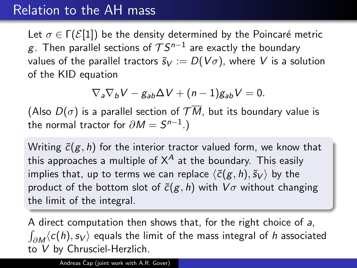## Relation to the AH mass

Let  $\sigma \in \Gamma(\mathcal{E}[1])$  be the density determined by the Poincaré metric  $g$ . Then parallel sections of  $\mathcal{TS}^{n-1}$  are exactly the boundary values of the parallel tractors  $\tilde{s}_V := D(V\sigma)$ , where V is a solution of the KID equation

$$
\nabla_a \nabla_b V - g_{ab} \Delta V + (n-1) g_{ab} V = 0.
$$

(Also  $D(\sigma)$  is a parallel section of  $\mathcal{T}\overline{M}$ , but its boundary value is the normal tractor for  $\partial M=S^{n-1}.)$ 

Writing  $\tilde{c}(g, h)$  for the interior tractor valued form, we know that this approaches a multiple of  $X^A$  at the boundary. This easily implies that, up to terms we can replace  $\langle \tilde{c}(g, h), \tilde{s}_V \rangle$  by the product of the bottom slot of  $\tilde{c}(g, h)$  with  $V\sigma$  without changing the limit of the integral.

A direct computation then shows that, for the right choice of a,  $\int_{\partial M}\langle c(h),s_V\rangle$  equals the limit of the mass integral of  $h$  associated to V by Chrusciel-Herzlich.